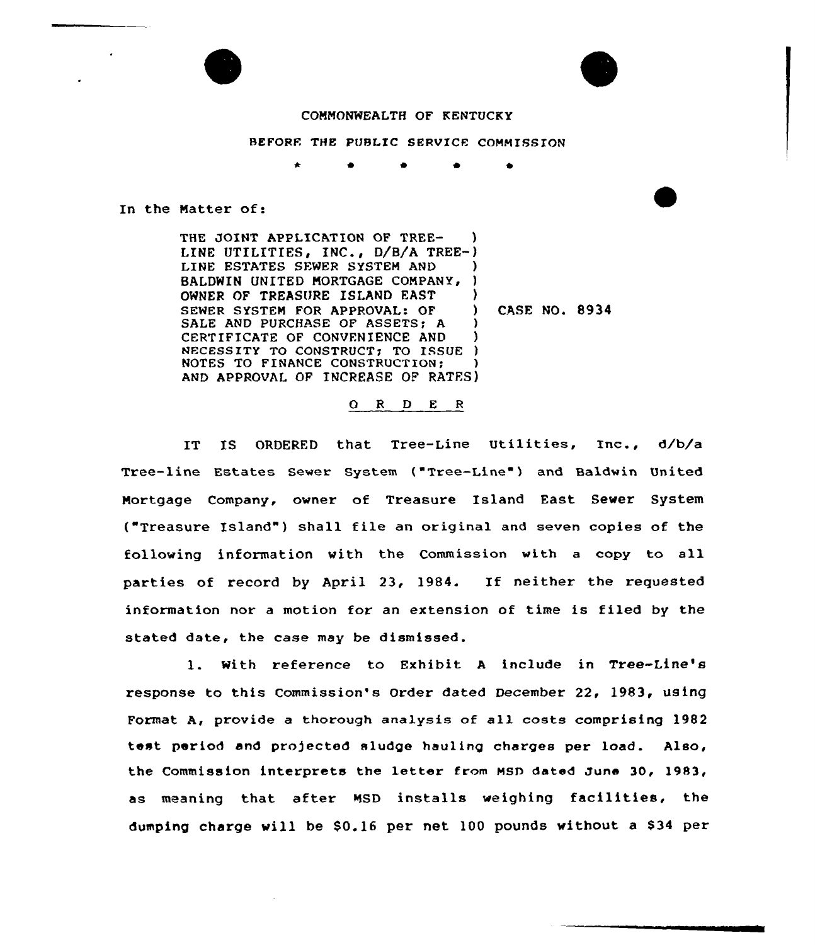

REFORE THE PUBLIC SERVICE COMMISSION

 $\bullet$   $\bullet$ 

In the Natter of:

THE JOINT APPLICATION OF TREE- ) LINE UTILITIES, INC., D/B/A TREE-) LINE ESTATES SEWER SYSTEM AND BALDWIN UNITED MORTGAGE COMPANY, ) OWNER OF TREASURE ISLAND EAST SEWER SYSTEM FOR APPROVAL: OF (3) SALE AND PURCHASE OF ASSETS; A CERTIFICATE OF CONVENIENCE AND ) NECESSITY TO CONSTRUCT: TO ISSUE ) NOTES TO FINANCE CONSTRUCTION: AND APPROVAL OF INCREASE OF RATES)

CASF. NO. 8934

#### O R D E R

IT IS ORDERED that Tree-Line Utilities, Inc., d/b/a Tree-line Estates Sewer System ("Tree-Line" ) and Baldwin United Mortgage Company, owner of Treasure Island East Sewer System ("Treasure Island") shall file an original and seven copies of the following information with the Commission with a copy to all parties of record by April 23, 1984. If neither the requested information nor <sup>a</sup> motion for an extension of time is filed by the stated date, the case may be dismissed.

l. With reference to Exhibit <sup>A</sup> include in Tree-Line' response to this Commission's Order dated December 22, 1983, using Format A, provide <sup>a</sup> thorough analysis of all costs comprising 1982 test period and projected sludge hauling charges per load. Also, the Commission interprets the letter from MSD dated June 30, 1983, as meaning that after NSD installs weighing facilities, the dumping charge will be  $$0.16$  per net 100 pounds without a  $$34$  per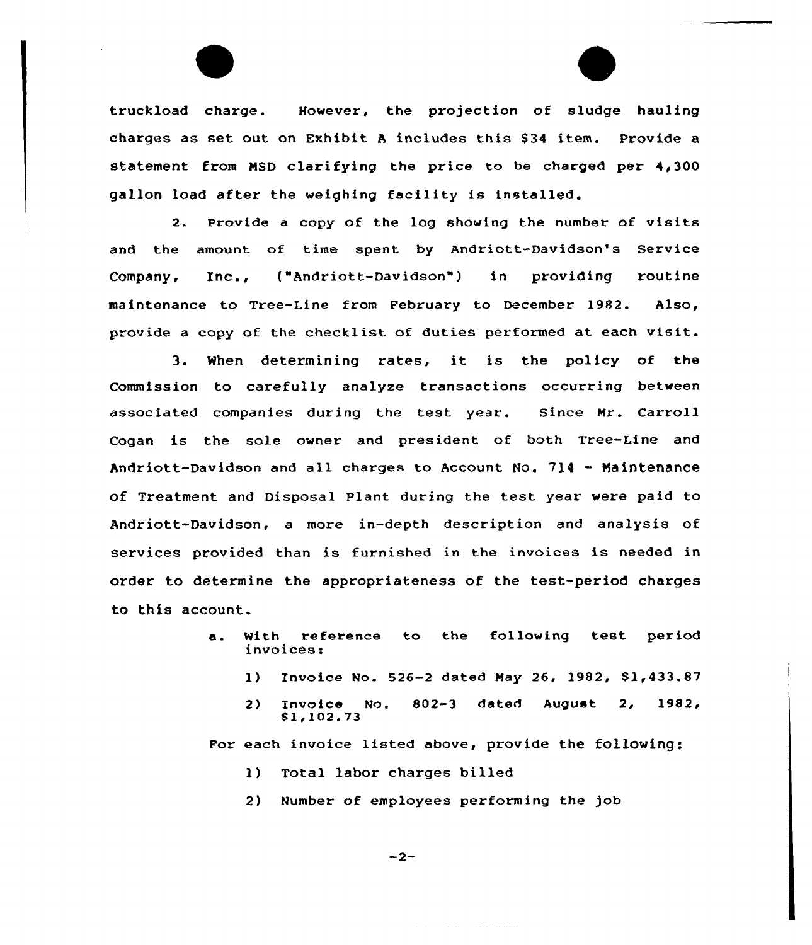truckload charge. However, the projection of sludge hauling charges as set out on Exhibit <sup>A</sup> includes this 834 item. Provide a statement from MSD clarifying the price to be charged per 4,300 gallon load after the weighing facility is installed.

2. Provide <sup>a</sup> copy of the log showing the number of visits and the amount of time spent by Andriott-Davidson's Service Company, Inc., ("Andriott-Davidson") in providing routine maintenance to Tree-Line from February to December 1982. Also, provide <sup>a</sup> copy of the checklist of duties performed at each visit.

3. When determining rates, it is the policy of the Commission to carefully analyze transactions occurring between associated companies during the test year. Since Mr. Carroll Cogan is the sole owner and president of both Tree-Line and Andriott-Davidson and all charges to Account No. 714 — Maintenance of Treatment and Disposal Plant during the test year were paid to Andriott-Davidson, a more in-depth description and analysis of services provided than is furnished in the invoices is needed in order to determine the appropriateness of the test-period charges to this account.

- a. With reference to the following test period invoices:
	- 1) Invoice No. 526-2 dated May 26, 1982, Sl,433.87
	- 2) Invoice No. 802-3 dated August 2, 1982,  $$1,102.73$

منصر صماعات المنادرة

For each invoice listed above, provide the following:

- 1) Total labor charges billed
- 2) Number of employees performing the job

 $-2-$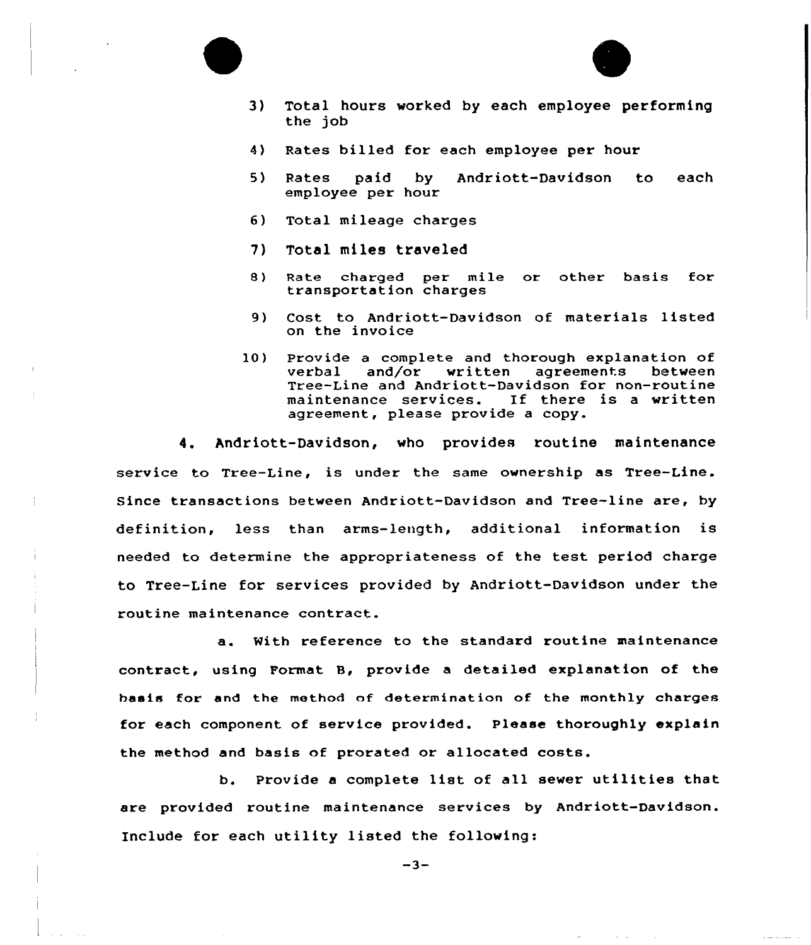



- 3) Total hours worked by each employee performing the job
- 4) Rates billed for each employee per hour
- 5) Rates paid by Andriott-Davidson to each employee per hour
- 6) Total mileage charges
- 7) Total miles traveled
- 8) Rate charged per mile or other basis for transportation charges
- 9) Cost to Andriott-Davidson of materials listed on the invoice
- 10) Provide a complete and thorough explanation of<br>verbal and/or written agreements between and/or written Tree-Line and Andriott-Davidson for non-routine<br>maintenance services. If there is a written maintenance services. agreement, please provide a copy.

4. Andriott-Davidson, who provides routine maintenance service to Tree-Line, is under the same ownership as Tree-Line. Since transactions between Andriott-Davidson and Tree-line are, by definition, less than arms-length, additional information is needed to determine the appropriateness of the test period charge to Tree-Line for services provided by Andriott-Davidson under the routine maintenance contract.

a. With reference to the standard routine maintenance contract, using Format 8, provide a detailed explanation of the basis for and the method nf determination of the monthly charges for each component of service provided. Please thoroughly explain the method and basis of prorated or allocated costs.

b. Provide <sup>a</sup> complete list of all sewer utilities that are provided routine maintenance services by Andriott-Davidson. Include for each utility listed the following:

 $-3-$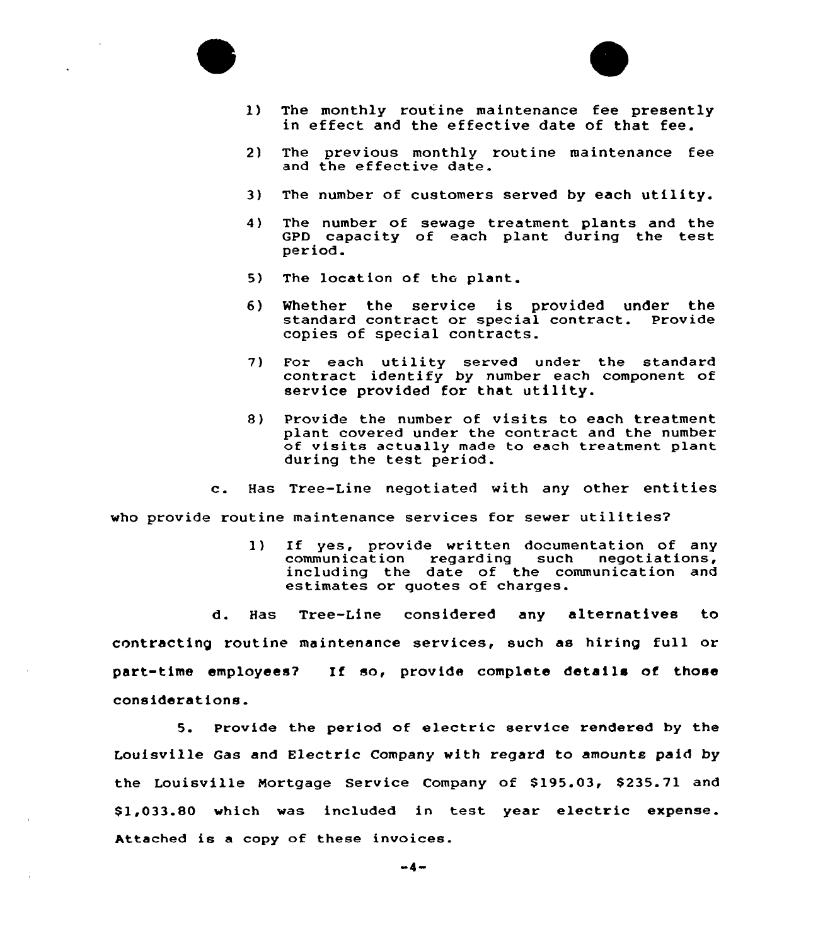



- 1) The monthly routine maintenance fee presently in effect and the effective date of that fee.
- 2) The previous monthly routine maintenance fee and the effective date.
- 3) The number of customers served by each utility.
- 4) The number of sewage treatment plants and the GPD capacity of each plant during the test period.
- 5) The location of the plant.
- 6) Whether the service is provided under the standard contract or special contract. copies of special contracts.
- 7) For each utility served under the standard contract identify by number each component of service provided for that utility.
- 8) Provide the number of visits to each treatment plant covered under the contract and the number of visits actually made to each treatment plant during the test period.
- c. Has Tree-Line negotiated with any other entities

who provide routine maintenance services for sewer utilities7

1) If yes, provide written documentation of any<br>communication regarding such negotiations, communication regarding including the date of the communication and estimates or quotes of charges.

d. Has Tree-Line considered any alternatives to contracting routine maintenance services, such as hiring full or part-time employees7 If so, provide complete details of those considerations.

5. Provide the period of electric service rendered by the Louisville Gas and Electric Company with regard to amounts paid by the Louisville Mortgage Service Company of \$195.03, \$235.71 and \$ 1,033.80 which was included in test year electric expense. Attached is <sup>a</sup> copy of these invoices.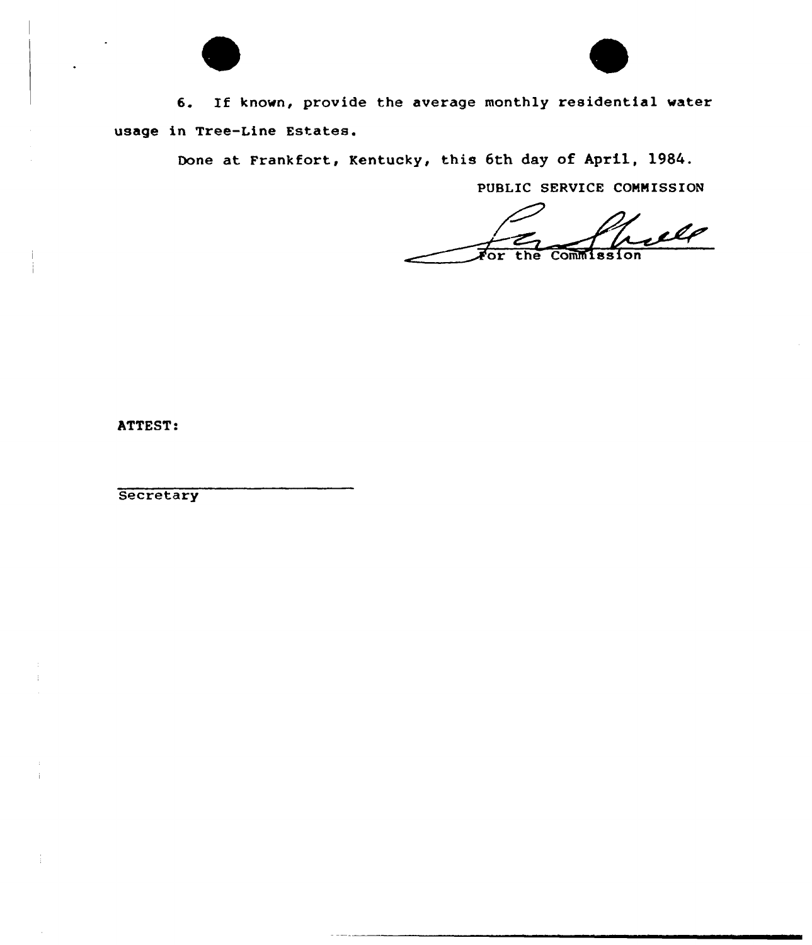

6. If known, provide the average monthly residential water usage in Tree-Line Estates.

Done at Frankfort, Kentucky, this 6th day of April, 1984.

PUSLIC SERVICE CONNISSION

ılø or the Commission

ATTEST:

**Secretary**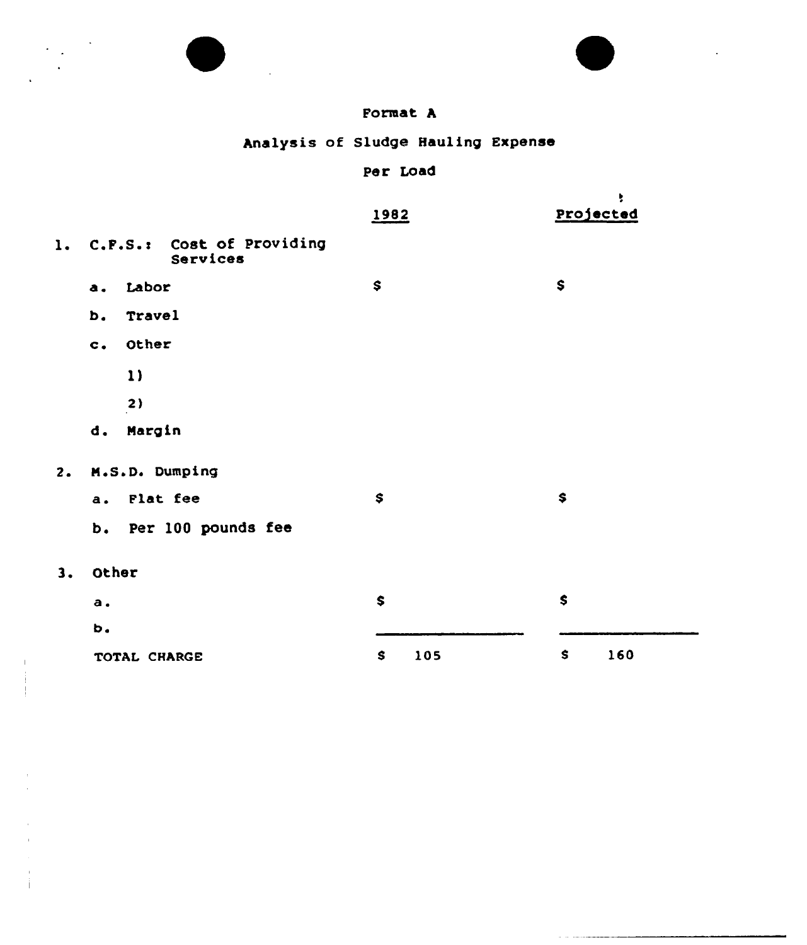



## Format A

Analysis of Sludge Hauling Expense

## Per Load

|                |                        |                                       | 1982 |     | ÷<br>Projected |
|----------------|------------------------|---------------------------------------|------|-----|----------------|
| $\mathbf{1}$ . |                        | C.F.S.: Cost of Providing<br>Services |      |     |                |
|                | Labor<br>a.            |                                       | \$   |     | \$             |
|                | Travel<br>b.           |                                       |      |     |                |
|                | Other<br>$c_{\bullet}$ |                                       |      |     |                |
|                | 1)                     |                                       |      |     |                |
|                | 2)                     |                                       |      |     |                |
|                | Margin<br>d.           |                                       |      |     |                |
| 2.             | M.S.D. Dumping         |                                       |      |     |                |
|                | Flat fee<br>a.         |                                       | \$   |     | \$             |
|                | b.                     | Per 100 pounds fee                    |      |     |                |
| 3.             | Other                  |                                       |      |     |                |
|                | a.                     |                                       | \$   |     | \$             |
|                | b.                     |                                       |      |     |                |
|                | TOTAL CHARGE           |                                       | \$   | 105 | \$<br>160      |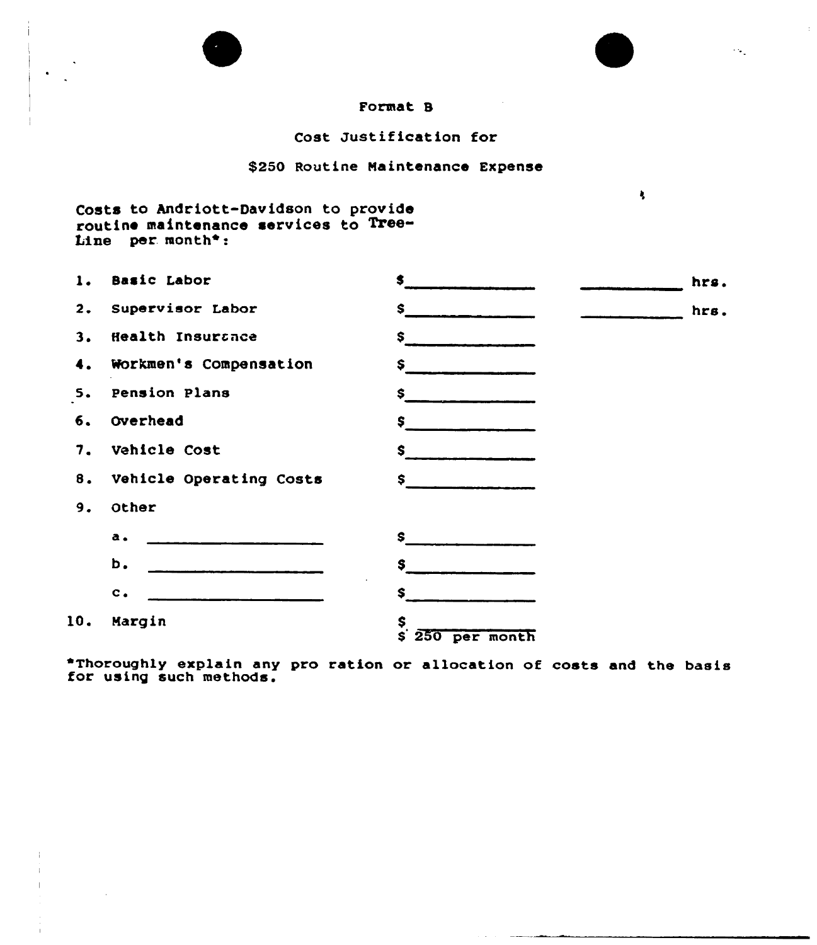



 $\sim 10$ 

 $\mathbf{A}$ 

### Cost Justification for

#### \$250 Routine Maintenance Expense

# Costs to Andriott-Davidson to provid<br>routine maintenance services to Tree Line per month\*:

 $\mathcal{A}$ 

| 1.  | Basic Labor                                                                                                                                                                                                                                                                                                                                                                                                                                                                      | \$                     | hrs. |
|-----|----------------------------------------------------------------------------------------------------------------------------------------------------------------------------------------------------------------------------------------------------------------------------------------------------------------------------------------------------------------------------------------------------------------------------------------------------------------------------------|------------------------|------|
| 2.  | Supervisor Labor                                                                                                                                                                                                                                                                                                                                                                                                                                                                 | S.                     | hrs. |
| 3.  | Health Insurance                                                                                                                                                                                                                                                                                                                                                                                                                                                                 | $\sim$                 |      |
| 4.  | Workmen's Compensation                                                                                                                                                                                                                                                                                                                                                                                                                                                           | \$.                    |      |
| 5.  | Pension Plans                                                                                                                                                                                                                                                                                                                                                                                                                                                                    | \$                     |      |
| б.  | Overhead                                                                                                                                                                                                                                                                                                                                                                                                                                                                         | \$                     |      |
| 7.  | Vehicle Cost                                                                                                                                                                                                                                                                                                                                                                                                                                                                     | \$                     |      |
| 8.  | Vehicle Operating Costs                                                                                                                                                                                                                                                                                                                                                                                                                                                          | $\sim$                 |      |
| 9.  | Other                                                                                                                                                                                                                                                                                                                                                                                                                                                                            |                        |      |
|     | a.<br>$\frac{1}{2} \left( \frac{1}{2} \right) \left( \frac{1}{2} \right) \left( \frac{1}{2} \right) \left( \frac{1}{2} \right) \left( \frac{1}{2} \right) \left( \frac{1}{2} \right) \left( \frac{1}{2} \right) \left( \frac{1}{2} \right) \left( \frac{1}{2} \right) \left( \frac{1}{2} \right) \left( \frac{1}{2} \right) \left( \frac{1}{2} \right) \left( \frac{1}{2} \right) \left( \frac{1}{2} \right) \left( \frac{1}{2} \right) \left( \frac{1}{2} \right) \left( \frac$ | $s$ $-$                |      |
|     | b.                                                                                                                                                                                                                                                                                                                                                                                                                                                                               | S.                     |      |
|     | $c_{\bullet}$                                                                                                                                                                                                                                                                                                                                                                                                                                                                    | S.                     |      |
| 10. | Margin                                                                                                                                                                                                                                                                                                                                                                                                                                                                           | \$<br>$$250$ per month |      |

\*Thoroughly explain any pro ration or allocation of costs and the basis for using such methods.